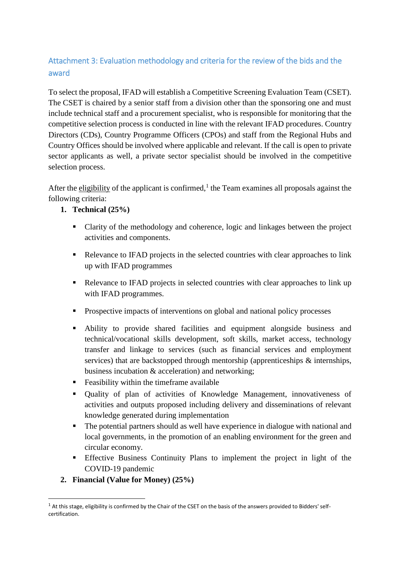## Attachment 3: Evaluation methodology and criteria for the review of the bids and the award

To select the proposal, IFAD will establish a Competitive Screening Evaluation Team (CSET). The CSET is chaired by a senior staff from a division other than the sponsoring one and must include technical staff and a procurement specialist, who is responsible for monitoring that the competitive selection process is conducted in line with the relevant IFAD procedures. Country Directors (CDs), Country Programme Officers (CPOs) and staff from the Regional Hubs and Country Offices should be involved where applicable and relevant. If the call is open to private sector applicants as well, a private sector specialist should be involved in the competitive selection process.

After the eligibility of the applicant is confirmed,<sup>1</sup> the Team examines all proposals against the following criteria:

## **1. Technical (25%)**

- Clarity of the methodology and coherence, logic and linkages between the project activities and components.
- Relevance to IFAD projects in the selected countries with clear approaches to link up with IFAD programmes
- Relevance to IFAD projects in selected countries with clear approaches to link up with IFAD programmes.
- **Prospective impacts of interventions on global and national policy processes**
- Ability to provide shared facilities and equipment alongside business and technical/vocational skills development, soft skills, market access, technology transfer and linkage to services (such as financial services and employment services) that are backstopped through mentorship (apprenticeships & internships, business incubation & acceleration) and networking;
- Feasibility within the timeframe available
- Quality of plan of activities of Knowledge Management, innovativeness of activities and outputs proposed including delivery and disseminations of relevant knowledge generated during implementation
- The potential partners should as well have experience in dialogue with national and local governments, in the promotion of an enabling environment for the green and circular economy.
- Effective Business Continuity Plans to implement the project in light of the COVID-19 pandemic
- **2. Financial (Value for Money) (25%)**

-

 $1$  At this stage, eligibility is confirmed by the Chair of the CSET on the basis of the answers provided to Bidders' selfcertification.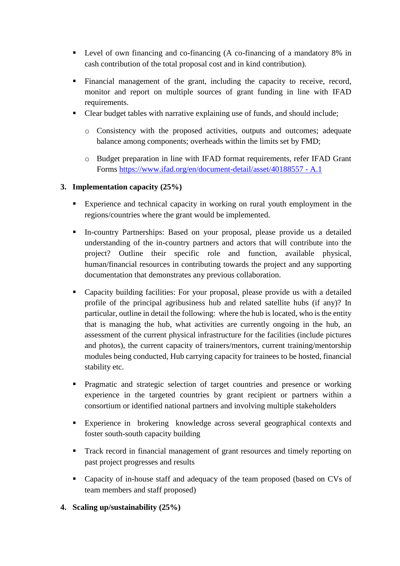- Level of own financing and co-financing (A co-financing of a mandatory 8% in cash contribution of the total proposal cost and in kind contribution).
- Financial management of the grant, including the capacity to receive, record, monitor and report on multiple sources of grant funding in line with IFAD requirements.
- Clear budget tables with narrative explaining use of funds, and should include;
	- o Consistency with the proposed activities, outputs and outcomes; adequate balance among components; overheads within the limits set by FMD;
	- o Budget preparation in line with IFAD format requirements, refer IFAD Grant Forms [https://www.ifad.org/en/document-detail/asset/40188557 -](https://www.ifad.org/en/document-detail/asset/40188557%20-%20A.1) A.1

## **3. Implementation capacity (25%)**

- Experience and technical capacity in working on rural youth employment in the regions/countries where the grant would be implemented.
- In-country Partnerships: Based on your proposal, please provide us a detailed understanding of the in-country partners and actors that will contribute into the project? Outline their specific role and function, available physical, human/financial resources in contributing towards the project and any supporting documentation that demonstrates any previous collaboration.
- Capacity building facilities: For your proposal, please provide us with a detailed profile of the principal agribusiness hub and related satellite hubs (if any)? In particular, outline in detail the following: where the hub is located, who is the entity that is managing the hub, what activities are currently ongoing in the hub, an assessment of the current physical infrastructure for the facilities (include pictures and photos), the current capacity of trainers/mentors, current training/mentorship modules being conducted, Hub carrying capacity for trainees to be hosted, financial stability etc.
- Pragmatic and strategic selection of target countries and presence or working experience in the targeted countries by grant recipient or partners within a consortium or identified national partners and involving multiple stakeholders
- Experience in brokering knowledge across several geographical contexts and foster south-south capacity building
- **Track record in financial management of grant resources and timely reporting on** past project progresses and results
- Capacity of in-house staff and adequacy of the team proposed (based on CVs of team members and staff proposed)
- **4. Scaling up/sustainability (25%)**